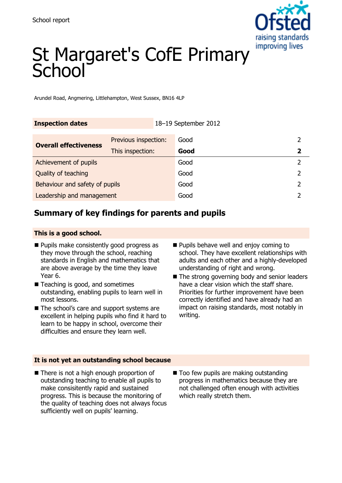

# St Margaret's CofE Primary School

Arundel Road, Angmering, Littlehampton, West Sussex, BN16 4LP

| <b>Inspection dates</b>        |                      | 18-19 September 2012 |      |                         |
|--------------------------------|----------------------|----------------------|------|-------------------------|
| <b>Overall effectiveness</b>   | Previous inspection: |                      | Good |                         |
|                                | This inspection:     |                      | Good | $\overline{\mathbf{2}}$ |
| Achievement of pupils          |                      |                      | Good |                         |
| Quality of teaching            |                      |                      | Good | 2                       |
| Behaviour and safety of pupils |                      |                      | Good |                         |
| Leadership and management      |                      |                      | Good |                         |

## **Summary of key findings for parents and pupils**

#### **This is a good school.**

- **Pupils make consistently good progress as** they move through the school, reaching standards in English and mathematics that are above average by the time they leave Year 6.
- Teaching is good, and sometimes outstanding, enabling pupils to learn well in most lessons.
- The school's care and support systems are excellent in helping pupils who find it hard to learn to be happy in school, overcome their difficulties and ensure they learn well.
- **Pupils behave well and enjoy coming to** school. They have excellent relationships with adults and each other and a highly-developed understanding of right and wrong.
- The strong governing body and senior leaders have a clear vision which the staff share. Priorities for further improvement have been correctly identified and have already had an impact on raising standards, most notably in writing.

#### **It is not yet an outstanding school because**

- There is not a high enough proportion of outstanding teaching to enable all pupils to make consisitently rapid and sustained progress. This is because the monitoring of the quality of teaching does not always focus sufficiently well on pupils' learning.
- Too few pupils are making outstanding progress in mathematics because they are not challenged often enough with activities which really stretch them.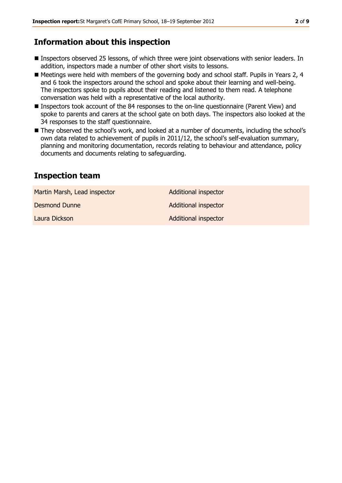## **Information about this inspection**

- Inspectors observed 25 lessons, of which three were joint observations with senior leaders. In addition, inspectors made a number of other short visits to lessons.
- Meetings were held with members of the governing body and school staff. Pupils in Years 2, 4 and 6 took the inspectors around the school and spoke about their learning and well-being. The inspectors spoke to pupils about their reading and listened to them read. A telephone conversation was held with a representative of the local authority.
- Inspectors took account of the 84 responses to the on-line questionnaire (Parent View) and spoke to parents and carers at the school gate on both days. The inspectors also looked at the 34 responses to the staff questionnaire.
- They observed the school's work, and looked at a number of documents, including the school's own data related to achievement of pupils in 2011/12, the school's self-evaluation summary, planning and monitoring documentation, records relating to behaviour and attendance, policy documents and documents relating to safeguarding.

## **Inspection team**

Martin Marsh, Lead inspector **Additional inspector** 

**Desmond Dunne Contract Contract Contract Contract Contract Contract Contract Contract Contract Contract Contract Contract Contract Contract Contract Contract Contract Contract Contract Contract Contract Contract Contrac** 

Laura Dickson **Additional inspector** Additional inspector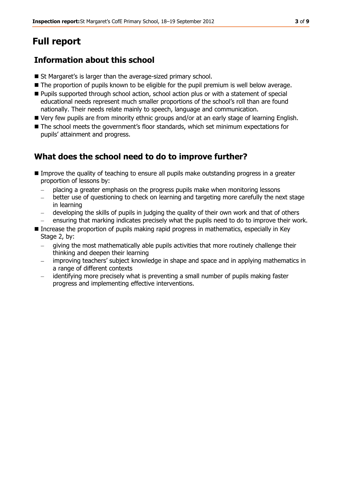## **Full report**

## **Information about this school**

- St Margaret's is larger than the average-sized primary school.
- $\blacksquare$  The proportion of pupils known to be eligible for the pupil premium is well below average.
- Pupils supported through school action, school action plus or with a statement of special educational needs represent much smaller proportions of the school's roll than are found nationally. Their needs relate mainly to speech, language and communication.
- Very few pupils are from minority ethnic groups and/or at an early stage of learning English.
- $\blacksquare$  The school meets the government's floor standards, which set minimum expectations for pupils' attainment and progress.

#### **What does the school need to do to improve further?**

- Improve the quality of teaching to ensure all pupils make outstanding progress in a greater proportion of lessons by:
	- placing a greater emphasis on the progress pupils make when monitoring lessons
	- better use of questioning to check on learning and targeting more carefully the next stage  $\frac{1}{2}$ in learning
	- developing the skills of pupils in judging the quality of their own work and that of others
	- ensuring that marking indicates precisely what the pupils need to do to improve their work.
- Increase the proportion of pupils making rapid progress in mathematics, especially in Key Stage 2, by:
	- giving the most mathematically able pupils activities that more routinely challenge their thinking and deepen their learning
	- improving teachers' subject knowledge in shape and space and in applying mathematics in a range of different contexts
	- identifying more precisely what is preventing a small number of pupils making faster progress and implementing effective interventions.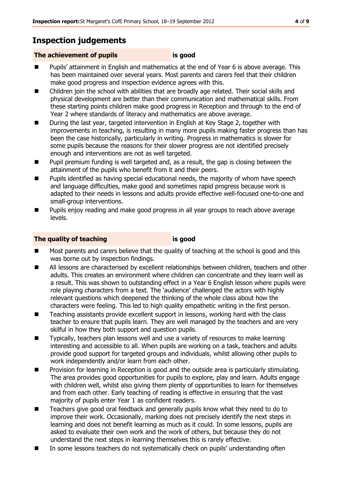## **Inspection judgements**

#### **The achievement of pupils is good**

- Pupils' attainment in English and mathematics at the end of Year 6 is above average. This has been maintained over several years. Most parents and carers feel that their children make good progress and inspection evidence agrees with this.
- Children join the school with abilities that are broadly age related. Their social skills and physical development are better than their communication and mathematical skills. From these starting points children make good progress in Reception and through to the end of Year 2 where standards of literacy and mathematics are above average.
- During the last year, targeted intervention in English at Key Stage 2, together with improvements in teaching, is resulting in many more pupils making faster progress than has been the case historically, particularly in writing. Progress in mathematics is slower for some pupils because the reasons for their slower progress are not identified precisely enough and interventions are not as well targeted.
- Pupil premium funding is well targeted and, as a result, the gap is closing between the attainment of the pupils who benefit from it and their peers.
- Pupils identified as having special educational needs, the majority of whom have speech and language difficulties, make good and sometimes rapid progress because work is adapted to their needs in lessons and adults provide effective well-focused one-to-one and small-group interventions.
- Pupils enjoy reading and make good progress in all year groups to reach above average levels.

#### **The quality of teaching is good**

- Most parents and carers believe that the quality of teaching at the school is good and this was borne out by inspection findings.
- All lessons are characterised by excellent relationships between children, teachers and other adults. This creates an environment where children can concentrate and they learn well as a result. This was shown to outstanding effect in a Year 6 English lesson where pupils were role playing characters from a text. The 'audience' challenged the actors with highly relevant questions which deepened the thinking of the whole class about how the characters were feeling. This led to high quality empathetic writing in the first person.
- Teaching assistants provide excellent support in lessons, working hard with the class teacher to ensure that pupils learn. They are well managed by the teachers and are very skilful in how they both support and question pupils.
- **Typically, teachers plan lessons well and use a variety of resources to make learning** interesting and accessible to all. When pupils are working on a task, teachers and adults provide good support for targeted groups and individuals, whilst allowing other pupils to work independently and/or learn from each other.
- Provision for learning in Reception is good and the outside area is particularly stimulating. The area provides good opportunities for pupils to explore, play and learn. Adults engage with children well, whilst also giving them plenty of opportunities to learn for themselves and from each other. Early teaching of reading is effective in ensuring that the vast majority of pupils enter Year 1 as confident readers.
- Teachers give good oral feedback and generally pupils know what they need to do to improve their work. Occasionally, marking does not precisely identify the next steps in learning and does not benefit learning as much as it could. In some lessons, pupils are asked to evaluate their own work and the work of others, but because they do not understand the next steps in learning themselves this is rarely effective.
- In some lessons teachers do not systematically check on pupils' understanding often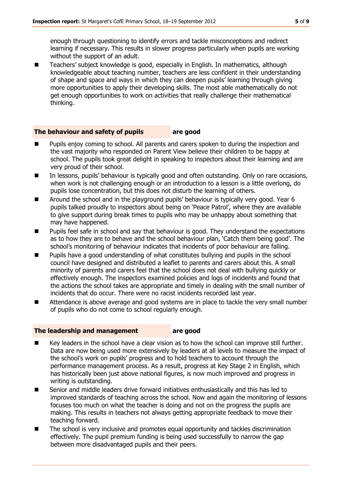enough through questioning to identify errors and tackle misconceptions and redirect learning if necessary. This results in slower progress particularly when pupils are working without the support of an adult.

■ Teachers' subject knowledge is good, especially in English. In mathematics, although knowledgeable about teaching number, teachers are less confident in their understanding of shape and space and ways in which they can deepen pupils' learning through giving more opportunities to apply their developing skills. The most able mathematically do not get enough opportunities to work on activities that really challenge their mathematical thinking.

#### **The behaviour and safety of pupils are good**

- Pupils enjoy coming to school. All parents and carers spoken to during the inspection and the vast majority who responded on Parent View believe their children to be happy at school. The pupils took great delight in speaking to inspectors about their learning and are very proud of their school.
- In lessons, pupils' behaviour is typically good and often outstanding. Only on rare occasions, when work is not challenging enough or an introduction to a lesson is a little overlong, do pupils lose concentration, but this does not disturb the learning of others.
- Around the school and in the playground pupils' behaviour is typically very good. Year 6 pupils talked proudly to inspectors about being on 'Peace Patrol', where they are available to give support during break times to pupils who may be unhappy about something that may have happened.
- Pupils feel safe in school and say that behaviour is good. They understand the expectations as to how they are to behave and the school behaviour plan, 'Catch them being good'. The school's monitoring of behaviour indicates that incidents of poor behaviour are falling.
- Pupils have a good understanding of what constitutes bullying and pupils in the school council have designed and distributed a leaflet to parents and carers about this. A small minority of parents and carers feel that the school does not deal with bullying quickly or effectively enough. The inspectors examined policies and logs of incidents and found that the actions the school takes are appropriate and timely in dealing with the small number of incidents that do occur. There were no racist incidents recorded last year.
- Attendance is above average and good systems are in place to tackle the very small number of pupils who do not come to school regularly enough.

#### **The leadership and management are good**

- Key leaders in the school have a clear vision as to how the school can improve still further. Data are now being used more extensively by leaders at all levels to measure the impact of the school's work on pupils' progress and to hold teachers to account through the performance management process. As a result, progress at Key Stage 2 in English, which has historically been just above national figures, is now much improved and progress in writing is outstanding.
- Senior and middle leaders drive forward initiatives enthusiastically and this has led to improved standards of teaching across the school. Now and again the monitoring of lessons focuses too much on what the teacher is doing and not on the progress the pupils are making. This results in teachers not always getting appropriate feedback to move their teaching forward.
- The school is very inclusive and promotes equal opportunity and tackles discrimination effectively. The pupil premium funding is being used successfully to narrow the gap between more disadvantaged pupils and their peers.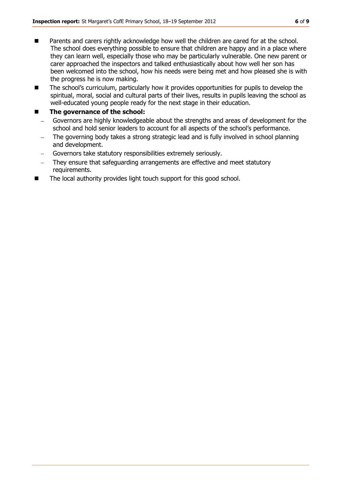- Parents and carers rightly acknowledge how well the children are cared for at the school. The school does everything possible to ensure that children are happy and in a place where they can learn well, especially those who may be particularly vulnerable. One new parent or carer approached the inspectors and talked enthusiastically about how well her son has been welcomed into the school, how his needs were being met and how pleased she is with the progress he is now making.
- The school's curriculum, particularly how it provides opportunities for pupils to develop the spiritual, moral, social and cultural parts of their lives, results in pupils leaving the school as well-educated young people ready for the next stage in their education.

#### **The governance of the school:**

- Governors are highly knowledgeable about the strengths and areas of development for the school and hold senior leaders to account for all aspects of the school's performance.
- The governing body takes a strong strategic lead and is fully involved in school planning and development.
- Governors take statutory responsibilities extremely seriously.
- They ensure that safeguarding arrangements are effective and meet statutory requirements.
- The local authority provides light touch support for this good school.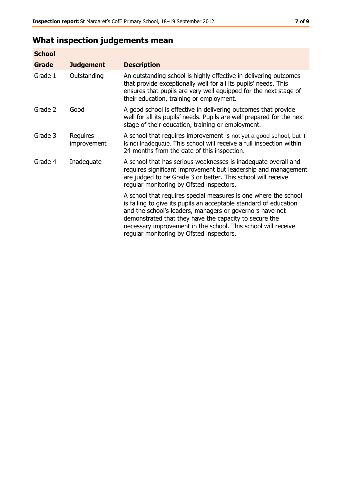## **What inspection judgements mean**

| <b>School</b> |                         |                                                                                                                                                                                                                                                                                                                                                                         |
|---------------|-------------------------|-------------------------------------------------------------------------------------------------------------------------------------------------------------------------------------------------------------------------------------------------------------------------------------------------------------------------------------------------------------------------|
| Grade         | <b>Judgement</b>        | <b>Description</b>                                                                                                                                                                                                                                                                                                                                                      |
| Grade 1       | Outstanding             | An outstanding school is highly effective in delivering outcomes<br>that provide exceptionally well for all its pupils' needs. This<br>ensures that pupils are very well equipped for the next stage of<br>their education, training or employment.                                                                                                                     |
| Grade 2       | Good                    | A good school is effective in delivering outcomes that provide<br>well for all its pupils' needs. Pupils are well prepared for the next<br>stage of their education, training or employment.                                                                                                                                                                            |
| Grade 3       | Requires<br>improvement | A school that requires improvement is not yet a good school, but it<br>is not inadequate. This school will receive a full inspection within<br>24 months from the date of this inspection.                                                                                                                                                                              |
| Grade 4       | Inadequate              | A school that has serious weaknesses is inadequate overall and<br>requires significant improvement but leadership and management<br>are judged to be Grade 3 or better. This school will receive<br>regular monitoring by Ofsted inspectors.                                                                                                                            |
|               |                         | A school that requires special measures is one where the school<br>is failing to give its pupils an acceptable standard of education<br>and the school's leaders, managers or governors have not<br>demonstrated that they have the capacity to secure the<br>necessary improvement in the school. This school will receive<br>regular monitoring by Ofsted inspectors. |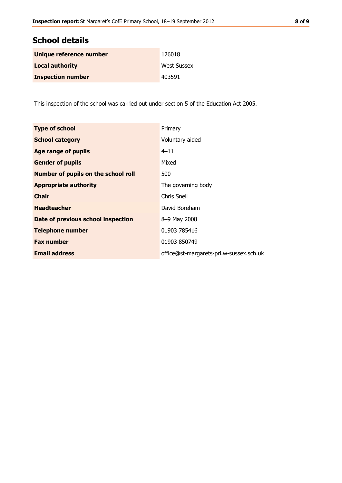## **School details**

| Unique reference number  | 126018             |
|--------------------------|--------------------|
| <b>Local authority</b>   | <b>West Sussex</b> |
| <b>Inspection number</b> | 403591             |

This inspection of the school was carried out under section 5 of the Education Act 2005.

| <b>Type of school</b>               | Primary                                 |
|-------------------------------------|-----------------------------------------|
| <b>School category</b>              | Voluntary aided                         |
| <b>Age range of pupils</b>          | $4 - 11$                                |
| <b>Gender of pupils</b>             | Mixed                                   |
| Number of pupils on the school roll | 500                                     |
| <b>Appropriate authority</b>        | The governing body                      |
| <b>Chair</b>                        | Chris Snell                             |
| <b>Headteacher</b>                  | David Boreham                           |
| Date of previous school inspection  | 8-9 May 2008                            |
| <b>Telephone number</b>             | 01903 785416                            |
| <b>Fax number</b>                   | 01903 850749                            |
| <b>Email address</b>                | office@st-margarets-pri.w-sussex.sch.uk |